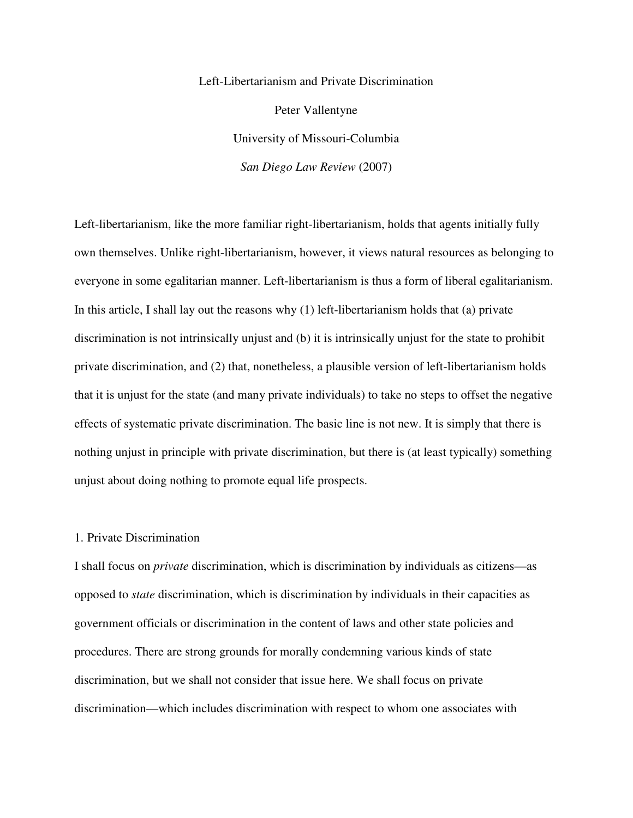Left-Libertarianism and Private Discrimination Peter Vallentyne University of Missouri-Columbia *San Diego Law Review* (2007)

Left-libertarianism, like the more familiar right-libertarianism, holds that agents initially fully own themselves. Unlike right-libertarianism, however, it views natural resources as belonging to everyone in some egalitarian manner. Left-libertarianism is thus a form of liberal egalitarianism. In this article, I shall lay out the reasons why (1) left-libertarianism holds that (a) private discrimination is not intrinsically unjust and (b) it is intrinsically unjust for the state to prohibit private discrimination, and (2) that, nonetheless, a plausible version of left-libertarianism holds that it is unjust for the state (and many private individuals) to take no steps to offset the negative effects of systematic private discrimination. The basic line is not new. It is simply that there is nothing unjust in principle with private discrimination, but there is (at least typically) something unjust about doing nothing to promote equal life prospects.

## 1. Private Discrimination

I shall focus on *private* discrimination, which is discrimination by individuals as citizens—as opposed to *state* discrimination, which is discrimination by individuals in their capacities as government officials or discrimination in the content of laws and other state policies and procedures. There are strong grounds for morally condemning various kinds of state discrimination, but we shall not consider that issue here. We shall focus on private discrimination—which includes discrimination with respect to whom one associates with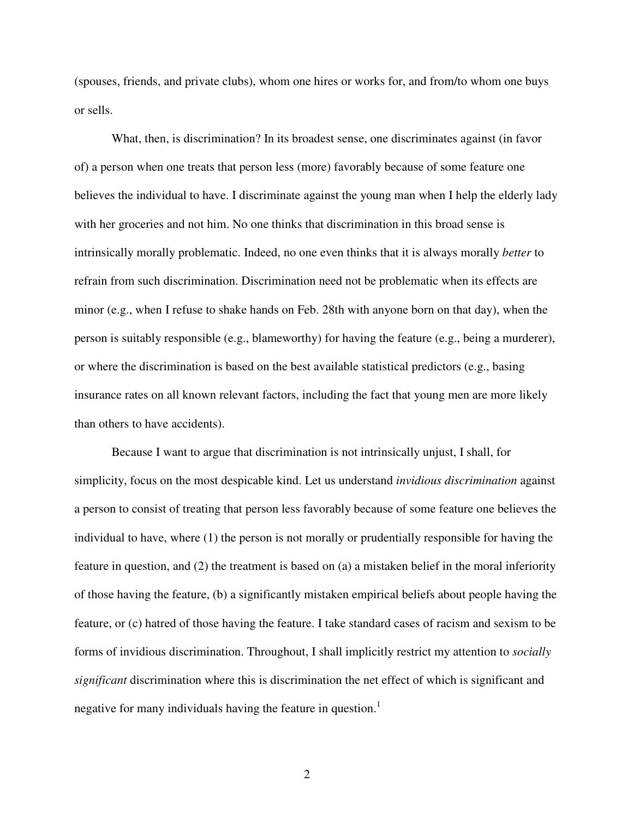(spouses, friends, and private clubs), whom one hires or works for, and from/to whom one buys or sells.

 What, then, is discrimination? In its broadest sense, one discriminates against (in favor of) a person when one treats that person less (more) favorably because of some feature one believes the individual to have. I discriminate against the young man when I help the elderly lady with her groceries and not him. No one thinks that discrimination in this broad sense is intrinsically morally problematic. Indeed, no one even thinks that it is always morally *better* to refrain from such discrimination. Discrimination need not be problematic when its effects are minor (e.g., when I refuse to shake hands on Feb. 28th with anyone born on that day), when the person is suitably responsible (e.g., blameworthy) for having the feature (e.g., being a murderer), or where the discrimination is based on the best available statistical predictors (e.g., basing insurance rates on all known relevant factors, including the fact that young men are more likely than others to have accidents).

Because I want to argue that discrimination is not intrinsically unjust, I shall, for simplicity, focus on the most despicable kind. Let us understand *invidious discrimination* against a person to consist of treating that person less favorably because of some feature one believes the individual to have, where (1) the person is not morally or prudentially responsible for having the feature in question, and (2) the treatment is based on (a) a mistaken belief in the moral inferiority of those having the feature, (b) a significantly mistaken empirical beliefs about people having the feature, or (c) hatred of those having the feature. I take standard cases of racism and sexism to be forms of invidious discrimination. Throughout, I shall implicitly restrict my attention to *socially significant* discrimination where this is discrimination the net effect of which is significant and negative for many individuals having the feature in question. $<sup>1</sup>$ </sup>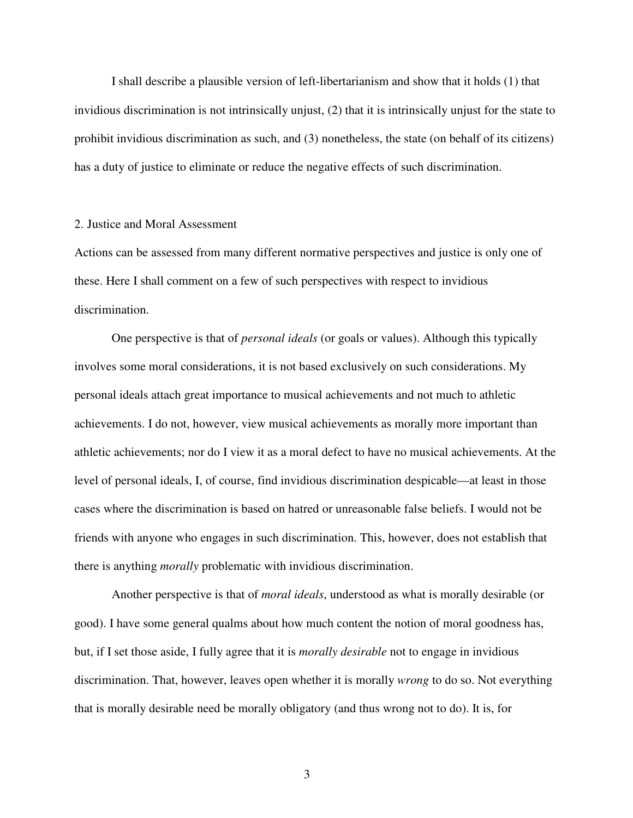I shall describe a plausible version of left-libertarianism and show that it holds (1) that invidious discrimination is not intrinsically unjust, (2) that it is intrinsically unjust for the state to prohibit invidious discrimination as such, and (3) nonetheless, the state (on behalf of its citizens) has a duty of justice to eliminate or reduce the negative effects of such discrimination.

# 2. Justice and Moral Assessment

Actions can be assessed from many different normative perspectives and justice is only one of these. Here I shall comment on a few of such perspectives with respect to invidious discrimination.

 One perspective is that of *personal ideals* (or goals or values). Although this typically involves some moral considerations, it is not based exclusively on such considerations. My personal ideals attach great importance to musical achievements and not much to athletic achievements. I do not, however, view musical achievements as morally more important than athletic achievements; nor do I view it as a moral defect to have no musical achievements. At the level of personal ideals, I, of course, find invidious discrimination despicable—at least in those cases where the discrimination is based on hatred or unreasonable false beliefs. I would not be friends with anyone who engages in such discrimination. This, however, does not establish that there is anything *morally* problematic with invidious discrimination.

 Another perspective is that of *moral ideals*, understood as what is morally desirable (or good). I have some general qualms about how much content the notion of moral goodness has, but, if I set those aside, I fully agree that it is *morally desirable* not to engage in invidious discrimination. That, however, leaves open whether it is morally *wrong* to do so. Not everything that is morally desirable need be morally obligatory (and thus wrong not to do). It is, for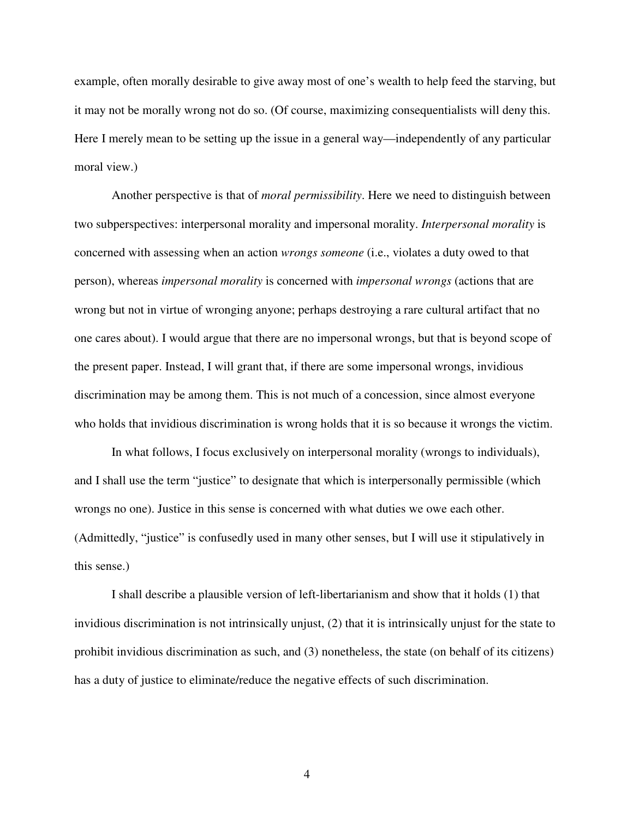example, often morally desirable to give away most of one's wealth to help feed the starving, but it may not be morally wrong not do so. (Of course, maximizing consequentialists will deny this. Here I merely mean to be setting up the issue in a general way—independently of any particular moral view.)

 Another perspective is that of *moral permissibility*. Here we need to distinguish between two subperspectives: interpersonal morality and impersonal morality. *Interpersonal morality* is concerned with assessing when an action *wrongs someone* (i.e., violates a duty owed to that person), whereas *impersonal morality* is concerned with *impersonal wrongs* (actions that are wrong but not in virtue of wronging anyone; perhaps destroying a rare cultural artifact that no one cares about). I would argue that there are no impersonal wrongs, but that is beyond scope of the present paper. Instead, I will grant that, if there are some impersonal wrongs, invidious discrimination may be among them. This is not much of a concession, since almost everyone who holds that invidious discrimination is wrong holds that it is so because it wrongs the victim.

 In what follows, I focus exclusively on interpersonal morality (wrongs to individuals), and I shall use the term "justice" to designate that which is interpersonally permissible (which wrongs no one). Justice in this sense is concerned with what duties we owe each other. (Admittedly, "justice" is confusedly used in many other senses, but I will use it stipulatively in this sense.)

 I shall describe a plausible version of left-libertarianism and show that it holds (1) that invidious discrimination is not intrinsically unjust, (2) that it is intrinsically unjust for the state to prohibit invidious discrimination as such, and (3) nonetheless, the state (on behalf of its citizens) has a duty of justice to eliminate/reduce the negative effects of such discrimination.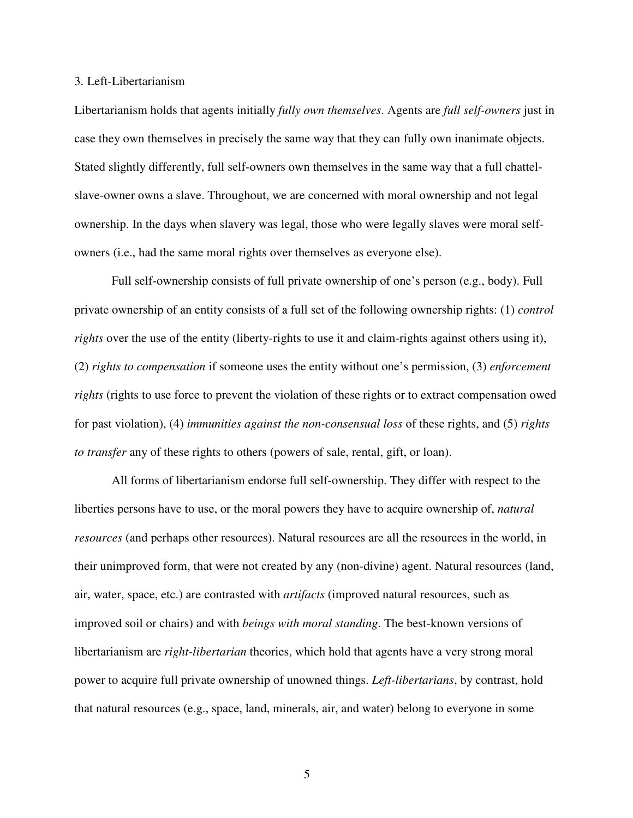#### 3. Left-Libertarianism

Libertarianism holds that agents initially *fully own themselves*. Agents are *full self-owners* just in case they own themselves in precisely the same way that they can fully own inanimate objects. Stated slightly differently, full self-owners own themselves in the same way that a full chattelslave-owner owns a slave. Throughout, we are concerned with moral ownership and not legal ownership. In the days when slavery was legal, those who were legally slaves were moral selfowners (i.e., had the same moral rights over themselves as everyone else).

Full self-ownership consists of full private ownership of one's person (e.g., body). Full private ownership of an entity consists of a full set of the following ownership rights: (1) *control rights* over the use of the entity (liberty-rights to use it and claim-rights against others using it), (2) *rights to compensation* if someone uses the entity without one's permission, (3) *enforcement rights* (rights to use force to prevent the violation of these rights or to extract compensation owed for past violation), (4) *immunities against the non-consensual loss* of these rights, and (5) *rights to transfer* any of these rights to others (powers of sale, rental, gift, or loan).

All forms of libertarianism endorse full self-ownership. They differ with respect to the liberties persons have to use, or the moral powers they have to acquire ownership of, *natural resources* (and perhaps other resources). Natural resources are all the resources in the world, in their unimproved form, that were not created by any (non-divine) agent. Natural resources (land, air, water, space, etc.) are contrasted with *artifacts* (improved natural resources, such as improved soil or chairs) and with *beings with moral standing*. The best-known versions of libertarianism are *right-libertarian* theories, which hold that agents have a very strong moral power to acquire full private ownership of unowned things. *Left-libertarians*, by contrast, hold that natural resources (e.g., space, land, minerals, air, and water) belong to everyone in some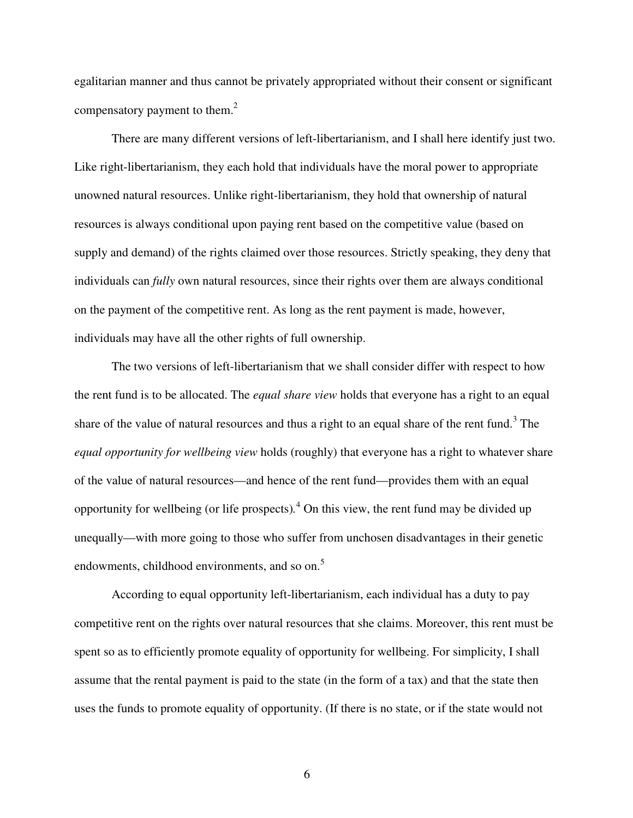egalitarian manner and thus cannot be privately appropriated without their consent or significant compensatory payment to them. $2$ 

There are many different versions of left-libertarianism, and I shall here identify just two. Like right-libertarianism, they each hold that individuals have the moral power to appropriate unowned natural resources. Unlike right-libertarianism, they hold that ownership of natural resources is always conditional upon paying rent based on the competitive value (based on supply and demand) of the rights claimed over those resources. Strictly speaking, they deny that individuals can *fully* own natural resources, since their rights over them are always conditional on the payment of the competitive rent. As long as the rent payment is made, however, individuals may have all the other rights of full ownership.

The two versions of left-libertarianism that we shall consider differ with respect to how the rent fund is to be allocated. The *equal share view* holds that everyone has a right to an equal share of the value of natural resources and thus a right to an equal share of the rent fund.<sup>3</sup> The *equal opportunity for wellbeing view* holds (roughly) that everyone has a right to whatever share of the value of natural resources—and hence of the rent fund—provides them with an equal opportunity for wellbeing (or life prospects)*.* 4 On this view, the rent fund may be divided up unequally—with more going to those who suffer from unchosen disadvantages in their genetic endowments, childhood environments, and so on.<sup>5</sup>

According to equal opportunity left-libertarianism, each individual has a duty to pay competitive rent on the rights over natural resources that she claims. Moreover, this rent must be spent so as to efficiently promote equality of opportunity for wellbeing. For simplicity, I shall assume that the rental payment is paid to the state (in the form of a tax) and that the state then uses the funds to promote equality of opportunity. (If there is no state, or if the state would not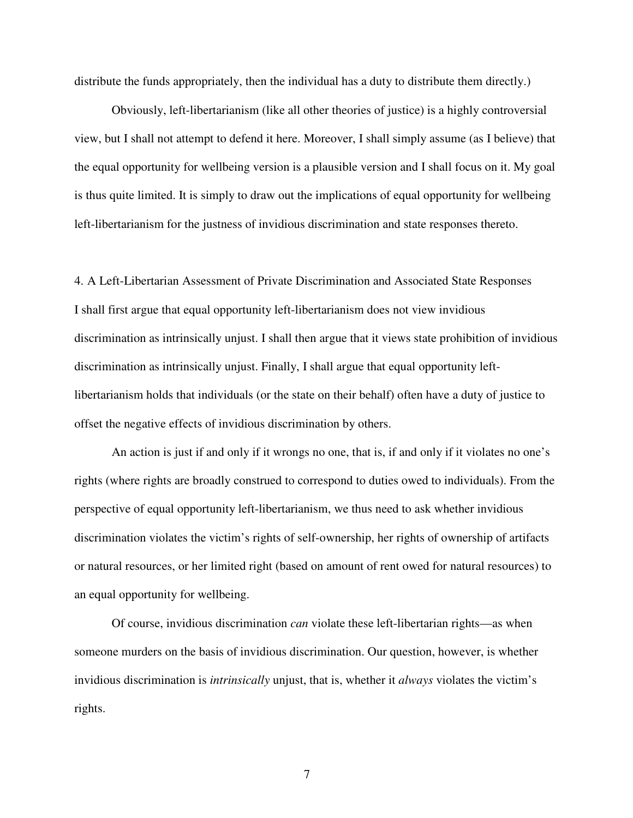distribute the funds appropriately, then the individual has a duty to distribute them directly.)

Obviously, left-libertarianism (like all other theories of justice) is a highly controversial view, but I shall not attempt to defend it here. Moreover, I shall simply assume (as I believe) that the equal opportunity for wellbeing version is a plausible version and I shall focus on it. My goal is thus quite limited. It is simply to draw out the implications of equal opportunity for wellbeing left-libertarianism for the justness of invidious discrimination and state responses thereto.

4. A Left-Libertarian Assessment of Private Discrimination and Associated State Responses I shall first argue that equal opportunity left-libertarianism does not view invidious discrimination as intrinsically unjust. I shall then argue that it views state prohibition of invidious discrimination as intrinsically unjust. Finally, I shall argue that equal opportunity leftlibertarianism holds that individuals (or the state on their behalf) often have a duty of justice to offset the negative effects of invidious discrimination by others.

An action is just if and only if it wrongs no one, that is, if and only if it violates no one's rights (where rights are broadly construed to correspond to duties owed to individuals). From the perspective of equal opportunity left-libertarianism, we thus need to ask whether invidious discrimination violates the victim's rights of self-ownership, her rights of ownership of artifacts or natural resources, or her limited right (based on amount of rent owed for natural resources) to an equal opportunity for wellbeing.

 Of course, invidious discrimination *can* violate these left-libertarian rights—as when someone murders on the basis of invidious discrimination. Our question, however, is whether invidious discrimination is *intrinsically* unjust, that is, whether it *always* violates the victim's rights.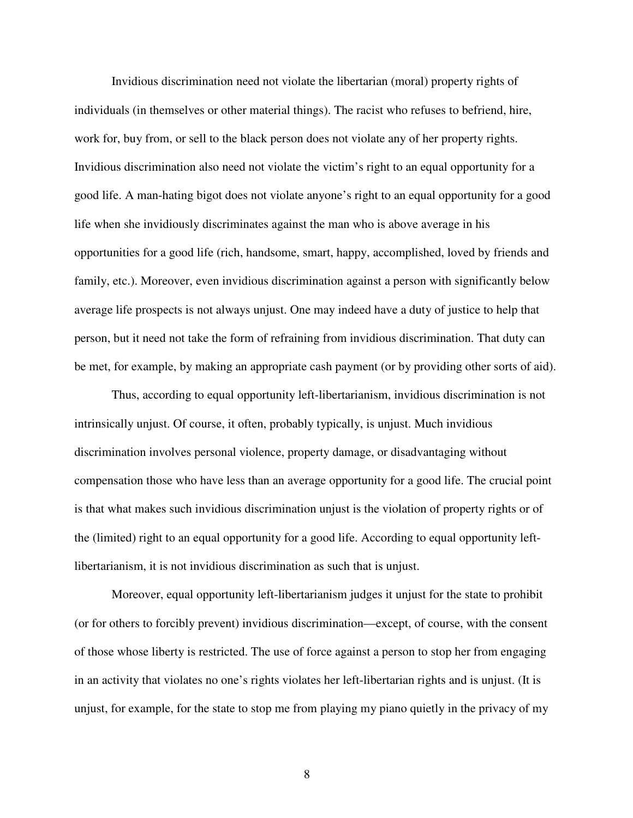Invidious discrimination need not violate the libertarian (moral) property rights of individuals (in themselves or other material things). The racist who refuses to befriend, hire, work for, buy from, or sell to the black person does not violate any of her property rights. Invidious discrimination also need not violate the victim's right to an equal opportunity for a good life. A man-hating bigot does not violate anyone's right to an equal opportunity for a good life when she invidiously discriminates against the man who is above average in his opportunities for a good life (rich, handsome, smart, happy, accomplished, loved by friends and family, etc.). Moreover, even invidious discrimination against a person with significantly below average life prospects is not always unjust. One may indeed have a duty of justice to help that person, but it need not take the form of refraining from invidious discrimination. That duty can be met, for example, by making an appropriate cash payment (or by providing other sorts of aid).

 Thus, according to equal opportunity left-libertarianism, invidious discrimination is not intrinsically unjust. Of course, it often, probably typically, is unjust. Much invidious discrimination involves personal violence, property damage, or disadvantaging without compensation those who have less than an average opportunity for a good life. The crucial point is that what makes such invidious discrimination unjust is the violation of property rights or of the (limited) right to an equal opportunity for a good life. According to equal opportunity leftlibertarianism, it is not invidious discrimination as such that is unjust.

 Moreover, equal opportunity left-libertarianism judges it unjust for the state to prohibit (or for others to forcibly prevent) invidious discrimination—except, of course, with the consent of those whose liberty is restricted. The use of force against a person to stop her from engaging in an activity that violates no one's rights violates her left-libertarian rights and is unjust. (It is unjust, for example, for the state to stop me from playing my piano quietly in the privacy of my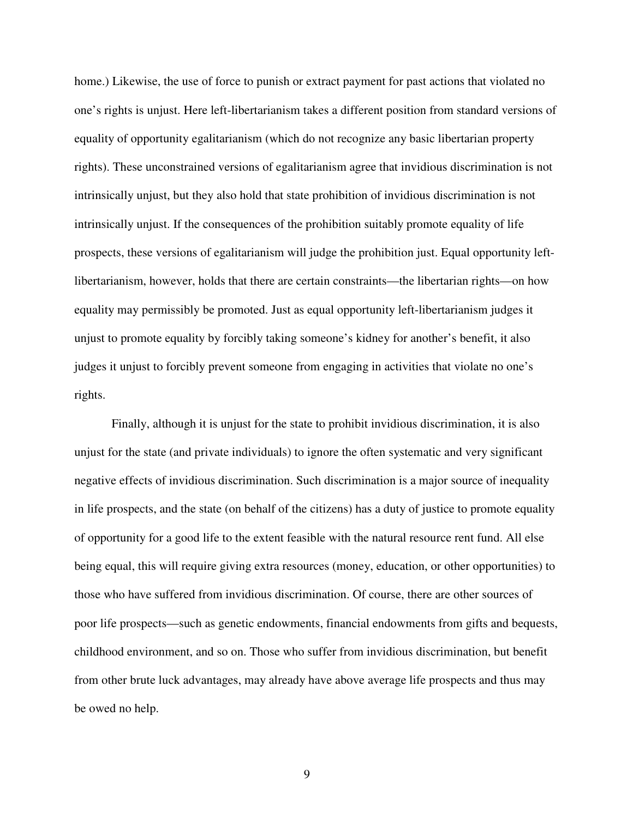home.) Likewise, the use of force to punish or extract payment for past actions that violated no one's rights is unjust. Here left-libertarianism takes a different position from standard versions of equality of opportunity egalitarianism (which do not recognize any basic libertarian property rights). These unconstrained versions of egalitarianism agree that invidious discrimination is not intrinsically unjust, but they also hold that state prohibition of invidious discrimination is not intrinsically unjust. If the consequences of the prohibition suitably promote equality of life prospects, these versions of egalitarianism will judge the prohibition just. Equal opportunity leftlibertarianism, however, holds that there are certain constraints—the libertarian rights—on how equality may permissibly be promoted. Just as equal opportunity left-libertarianism judges it unjust to promote equality by forcibly taking someone's kidney for another's benefit, it also judges it unjust to forcibly prevent someone from engaging in activities that violate no one's rights.

 Finally, although it is unjust for the state to prohibit invidious discrimination, it is also unjust for the state (and private individuals) to ignore the often systematic and very significant negative effects of invidious discrimination. Such discrimination is a major source of inequality in life prospects, and the state (on behalf of the citizens) has a duty of justice to promote equality of opportunity for a good life to the extent feasible with the natural resource rent fund. All else being equal, this will require giving extra resources (money, education, or other opportunities) to those who have suffered from invidious discrimination. Of course, there are other sources of poor life prospects—such as genetic endowments, financial endowments from gifts and bequests, childhood environment, and so on. Those who suffer from invidious discrimination, but benefit from other brute luck advantages, may already have above average life prospects and thus may be owed no help.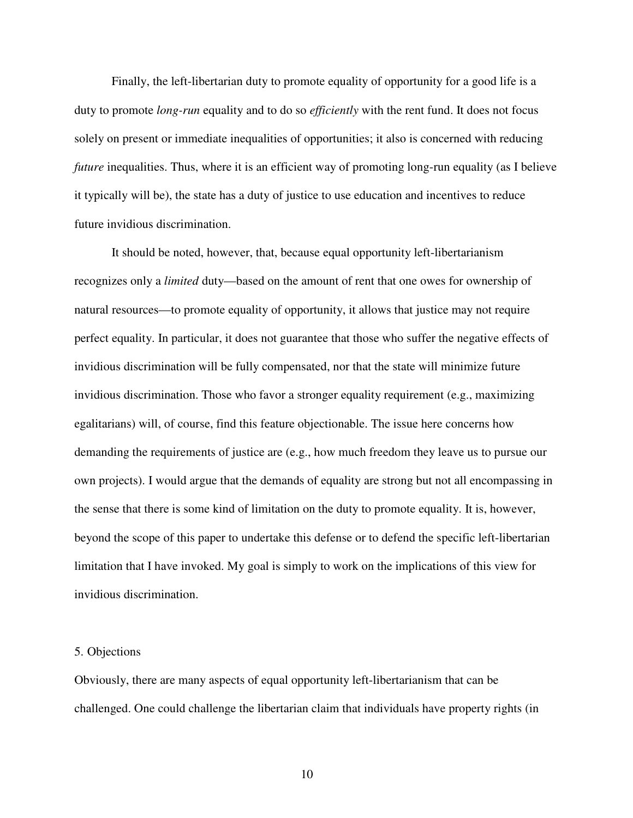Finally, the left-libertarian duty to promote equality of opportunity for a good life is a duty to promote *long-run* equality and to do so *efficiently* with the rent fund. It does not focus solely on present or immediate inequalities of opportunities; it also is concerned with reducing *future* inequalities. Thus, where it is an efficient way of promoting long-run equality (as I believe it typically will be), the state has a duty of justice to use education and incentives to reduce future invidious discrimination.

 It should be noted, however, that, because equal opportunity left-libertarianism recognizes only a *limited* duty—based on the amount of rent that one owes for ownership of natural resources—to promote equality of opportunity, it allows that justice may not require perfect equality. In particular, it does not guarantee that those who suffer the negative effects of invidious discrimination will be fully compensated, nor that the state will minimize future invidious discrimination. Those who favor a stronger equality requirement (e.g., maximizing egalitarians) will, of course, find this feature objectionable. The issue here concerns how demanding the requirements of justice are (e.g., how much freedom they leave us to pursue our own projects). I would argue that the demands of equality are strong but not all encompassing in the sense that there is some kind of limitation on the duty to promote equality. It is, however, beyond the scope of this paper to undertake this defense or to defend the specific left-libertarian limitation that I have invoked. My goal is simply to work on the implications of this view for invidious discrimination.

### 5. Objections

Obviously, there are many aspects of equal opportunity left-libertarianism that can be challenged. One could challenge the libertarian claim that individuals have property rights (in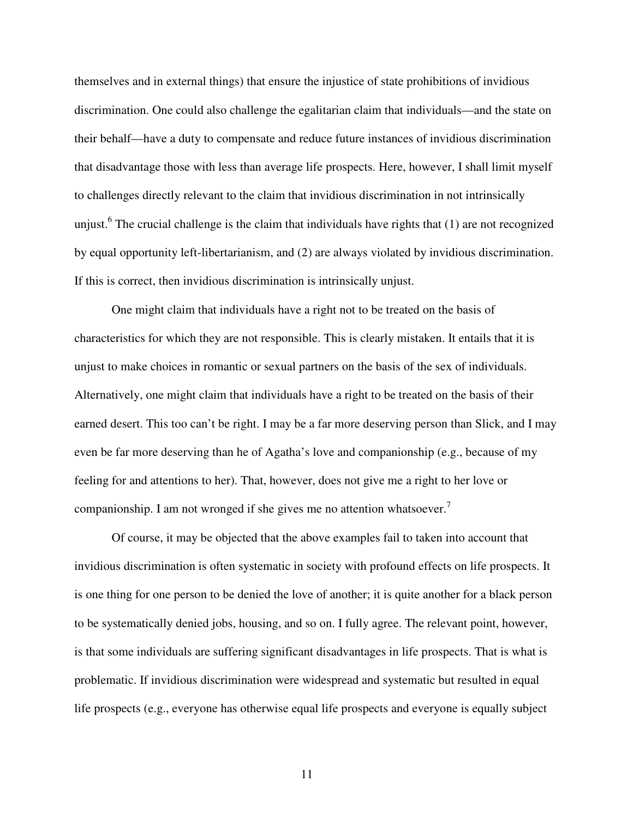themselves and in external things) that ensure the injustice of state prohibitions of invidious discrimination. One could also challenge the egalitarian claim that individuals—and the state on their behalf—have a duty to compensate and reduce future instances of invidious discrimination that disadvantage those with less than average life prospects. Here, however, I shall limit myself to challenges directly relevant to the claim that invidious discrimination in not intrinsically unjust.<sup>6</sup> The crucial challenge is the claim that individuals have rights that  $(1)$  are not recognized by equal opportunity left-libertarianism, and (2) are always violated by invidious discrimination. If this is correct, then invidious discrimination is intrinsically unjust.

 One might claim that individuals have a right not to be treated on the basis of characteristics for which they are not responsible. This is clearly mistaken. It entails that it is unjust to make choices in romantic or sexual partners on the basis of the sex of individuals. Alternatively, one might claim that individuals have a right to be treated on the basis of their earned desert. This too can't be right. I may be a far more deserving person than Slick, and I may even be far more deserving than he of Agatha's love and companionship (e.g., because of my feeling for and attentions to her). That, however, does not give me a right to her love or companionship. I am not wronged if she gives me no attention whatsoever.<sup>7</sup>

 Of course, it may be objected that the above examples fail to taken into account that invidious discrimination is often systematic in society with profound effects on life prospects. It is one thing for one person to be denied the love of another; it is quite another for a black person to be systematically denied jobs, housing, and so on. I fully agree. The relevant point, however, is that some individuals are suffering significant disadvantages in life prospects. That is what is problematic. If invidious discrimination were widespread and systematic but resulted in equal life prospects (e.g., everyone has otherwise equal life prospects and everyone is equally subject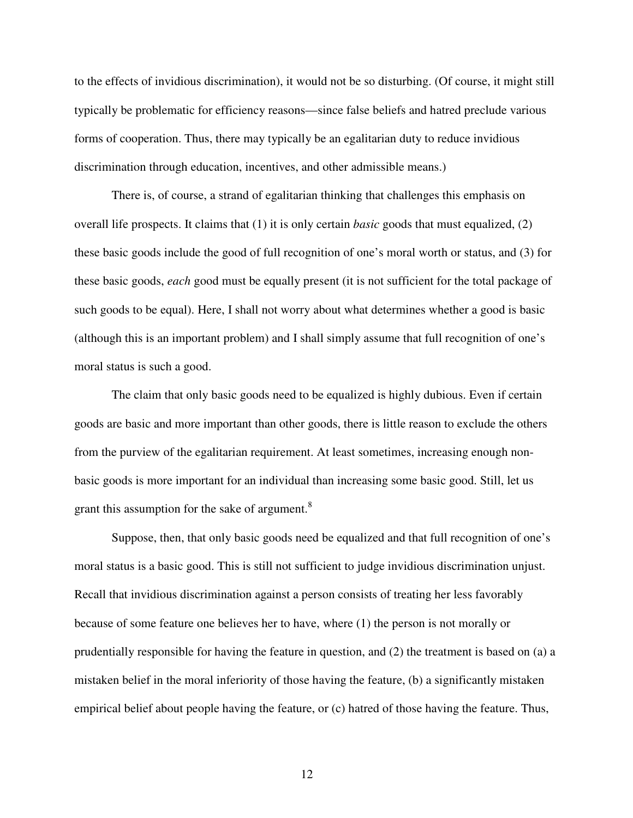to the effects of invidious discrimination), it would not be so disturbing. (Of course, it might still typically be problematic for efficiency reasons—since false beliefs and hatred preclude various forms of cooperation. Thus, there may typically be an egalitarian duty to reduce invidious discrimination through education, incentives, and other admissible means.)

 There is, of course, a strand of egalitarian thinking that challenges this emphasis on overall life prospects. It claims that (1) it is only certain *basic* goods that must equalized, (2) these basic goods include the good of full recognition of one's moral worth or status, and (3) for these basic goods, *each* good must be equally present (it is not sufficient for the total package of such goods to be equal). Here, I shall not worry about what determines whether a good is basic (although this is an important problem) and I shall simply assume that full recognition of one's moral status is such a good.

The claim that only basic goods need to be equalized is highly dubious. Even if certain goods are basic and more important than other goods, there is little reason to exclude the others from the purview of the egalitarian requirement. At least sometimes, increasing enough nonbasic goods is more important for an individual than increasing some basic good. Still, let us grant this assumption for the sake of argument.<sup>8</sup>

 Suppose, then, that only basic goods need be equalized and that full recognition of one's moral status is a basic good. This is still not sufficient to judge invidious discrimination unjust. Recall that invidious discrimination against a person consists of treating her less favorably because of some feature one believes her to have, where (1) the person is not morally or prudentially responsible for having the feature in question, and (2) the treatment is based on (a) a mistaken belief in the moral inferiority of those having the feature, (b) a significantly mistaken empirical belief about people having the feature, or (c) hatred of those having the feature. Thus,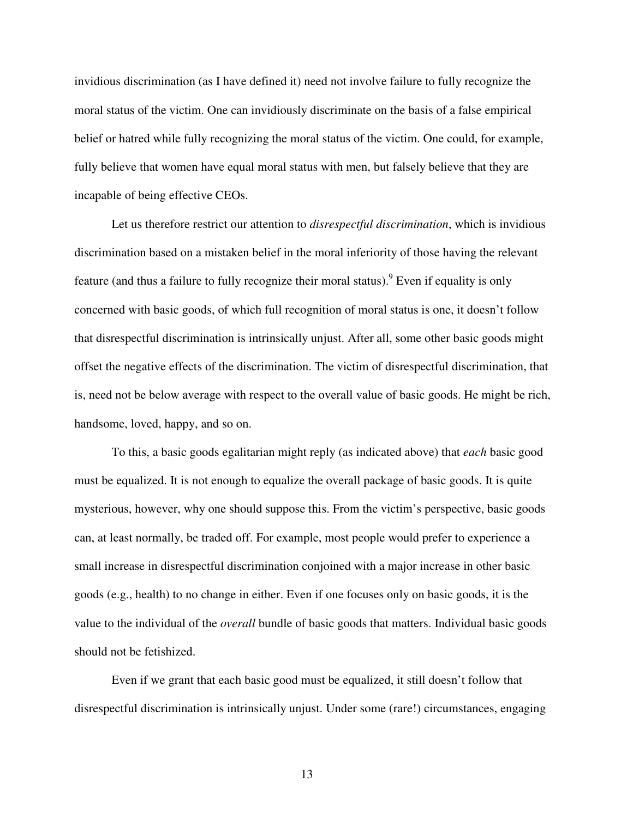invidious discrimination (as I have defined it) need not involve failure to fully recognize the moral status of the victim. One can invidiously discriminate on the basis of a false empirical belief or hatred while fully recognizing the moral status of the victim. One could, for example, fully believe that women have equal moral status with men, but falsely believe that they are incapable of being effective CEOs.

 Let us therefore restrict our attention to *disrespectful discrimination*, which is invidious discrimination based on a mistaken belief in the moral inferiority of those having the relevant feature (and thus a failure to fully recognize their moral status). <sup>9</sup> Even if equality is only concerned with basic goods, of which full recognition of moral status is one, it doesn't follow that disrespectful discrimination is intrinsically unjust. After all, some other basic goods might offset the negative effects of the discrimination. The victim of disrespectful discrimination, that is, need not be below average with respect to the overall value of basic goods. He might be rich, handsome, loved, happy, and so on.

To this, a basic goods egalitarian might reply (as indicated above) that *each* basic good must be equalized. It is not enough to equalize the overall package of basic goods. It is quite mysterious, however, why one should suppose this. From the victim's perspective, basic goods can, at least normally, be traded off. For example, most people would prefer to experience a small increase in disrespectful discrimination conjoined with a major increase in other basic goods (e.g., health) to no change in either. Even if one focuses only on basic goods, it is the value to the individual of the *overall* bundle of basic goods that matters. Individual basic goods should not be fetishized.

Even if we grant that each basic good must be equalized, it still doesn't follow that disrespectful discrimination is intrinsically unjust. Under some (rare!) circumstances, engaging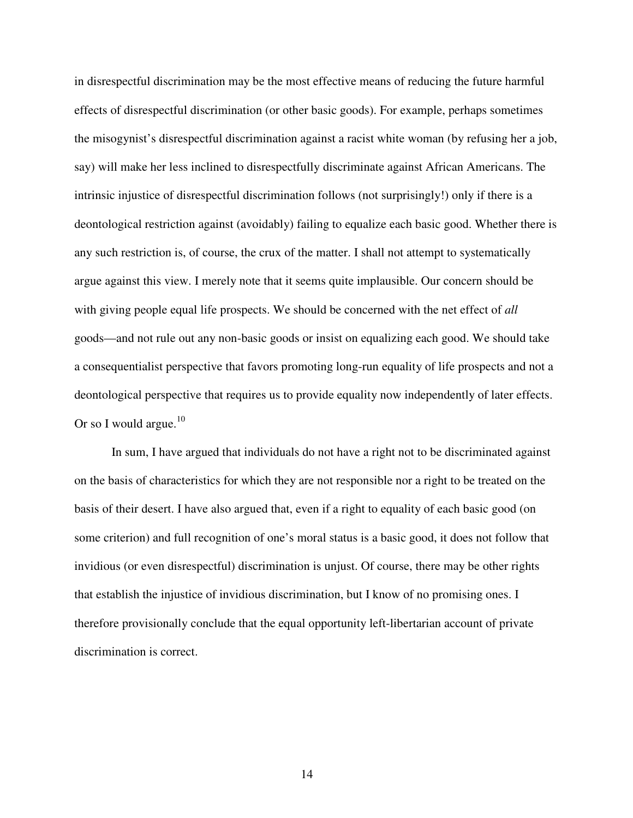in disrespectful discrimination may be the most effective means of reducing the future harmful effects of disrespectful discrimination (or other basic goods). For example, perhaps sometimes the misogynist's disrespectful discrimination against a racist white woman (by refusing her a job, say) will make her less inclined to disrespectfully discriminate against African Americans. The intrinsic injustice of disrespectful discrimination follows (not surprisingly!) only if there is a deontological restriction against (avoidably) failing to equalize each basic good. Whether there is any such restriction is, of course, the crux of the matter. I shall not attempt to systematically argue against this view. I merely note that it seems quite implausible. Our concern should be with giving people equal life prospects. We should be concerned with the net effect of *all* goods—and not rule out any non-basic goods or insist on equalizing each good. We should take a consequentialist perspective that favors promoting long-run equality of life prospects and not a deontological perspective that requires us to provide equality now independently of later effects. Or so I would argue.<sup>10</sup>

 In sum, I have argued that individuals do not have a right not to be discriminated against on the basis of characteristics for which they are not responsible nor a right to be treated on the basis of their desert. I have also argued that, even if a right to equality of each basic good (on some criterion) and full recognition of one's moral status is a basic good, it does not follow that invidious (or even disrespectful) discrimination is unjust. Of course, there may be other rights that establish the injustice of invidious discrimination, but I know of no promising ones. I therefore provisionally conclude that the equal opportunity left-libertarian account of private discrimination is correct.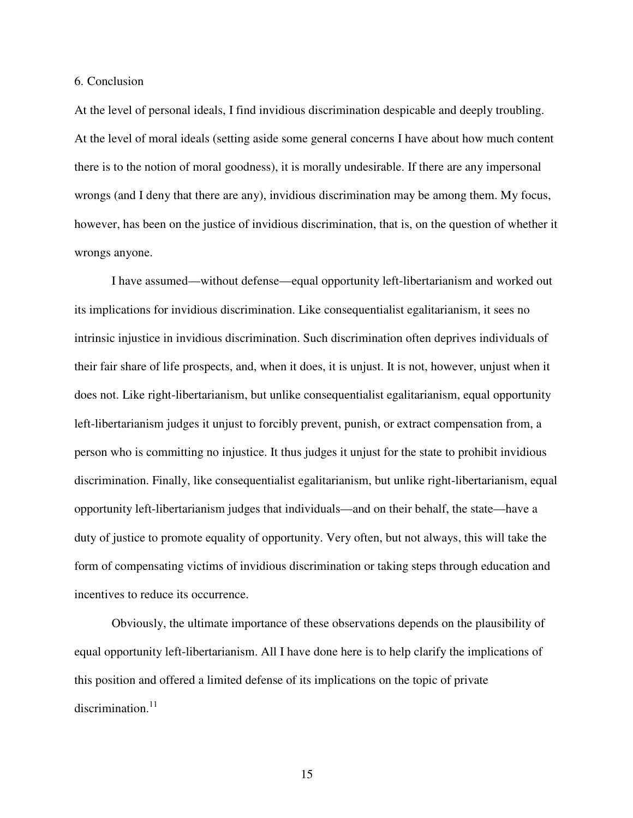### 6. Conclusion

At the level of personal ideals, I find invidious discrimination despicable and deeply troubling. At the level of moral ideals (setting aside some general concerns I have about how much content there is to the notion of moral goodness), it is morally undesirable. If there are any impersonal wrongs (and I deny that there are any), invidious discrimination may be among them. My focus, however, has been on the justice of invidious discrimination, that is, on the question of whether it wrongs anyone.

I have assumed—without defense—equal opportunity left-libertarianism and worked out its implications for invidious discrimination. Like consequentialist egalitarianism, it sees no intrinsic injustice in invidious discrimination. Such discrimination often deprives individuals of their fair share of life prospects, and, when it does, it is unjust. It is not, however, unjust when it does not. Like right-libertarianism, but unlike consequentialist egalitarianism, equal opportunity left-libertarianism judges it unjust to forcibly prevent, punish, or extract compensation from, a person who is committing no injustice. It thus judges it unjust for the state to prohibit invidious discrimination. Finally, like consequentialist egalitarianism, but unlike right-libertarianism, equal opportunity left-libertarianism judges that individuals—and on their behalf, the state—have a duty of justice to promote equality of opportunity. Very often, but not always, this will take the form of compensating victims of invidious discrimination or taking steps through education and incentives to reduce its occurrence.

 Obviously, the ultimate importance of these observations depends on the plausibility of equal opportunity left-libertarianism. All I have done here is to help clarify the implications of this position and offered a limited defense of its implications on the topic of private discrimination. $11$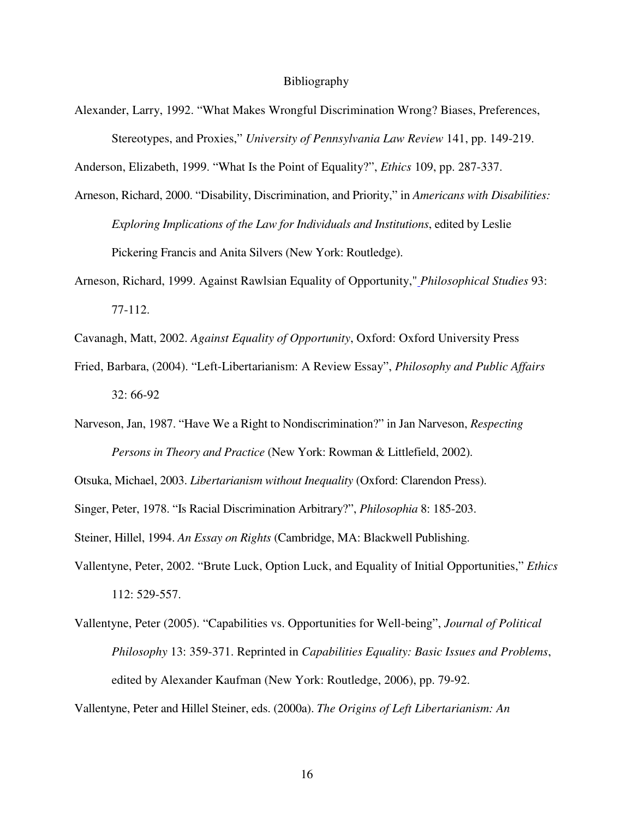#### Bibliography

Alexander, Larry, 1992. "What Makes Wrongful Discrimination Wrong? Biases, Preferences, Stereotypes, and Proxies," *University of Pennsylvania Law Review* 141, pp. 149-219.

Anderson, Elizabeth, 1999. "What Is the Point of Equality?", *Ethics* 109, pp. 287-337.

- Arneson, Richard, 2000. "Disability, Discrimination, and Priority," in *Americans with Disabilities: Exploring Implications of the Law for Individuals and Institutions*, edited by Leslie Pickering Francis and Anita Silvers (New York: Routledge).
- Arneson, Richard, 1999. Against Rawlsian Equality of Opportunity," *Philosophical Studies* 93: 77-112.
- Cavanagh, Matt, 2002. *Against Equality of Opportunity*, Oxford: Oxford University Press
- Fried, Barbara, (2004). "Left-Libertarianism: A Review Essay", *Philosophy and Public Affairs*  32: 66-92
- Narveson, Jan, 1987. "Have We a Right to Nondiscrimination?" in Jan Narveson, *Respecting Persons in Theory and Practice* (New York: Rowman & Littlefield, 2002).

Otsuka, Michael, 2003. *Libertarianism without Inequality* (Oxford: Clarendon Press).

Singer, Peter, 1978. "Is Racial Discrimination Arbitrary?", *Philosophia* 8: 185-203.

Steiner, Hillel, 1994. *An Essay on Rights* (Cambridge, MA: Blackwell Publishing.

- Vallentyne, Peter, 2002. "Brute Luck, Option Luck, and Equality of Initial Opportunities," *Ethics* 112: 529-557.
- Vallentyne, Peter (2005). "Capabilities vs. Opportunities for Well-being", *Journal of Political Philosophy* 13: 359-371. Reprinted in *Capabilities Equality: Basic Issues and Problems*, edited by Alexander Kaufman (New York: Routledge, 2006), pp. 79-92.

Vallentyne, Peter and Hillel Steiner, eds. (2000a). *The Origins of Left Libertarianism: An*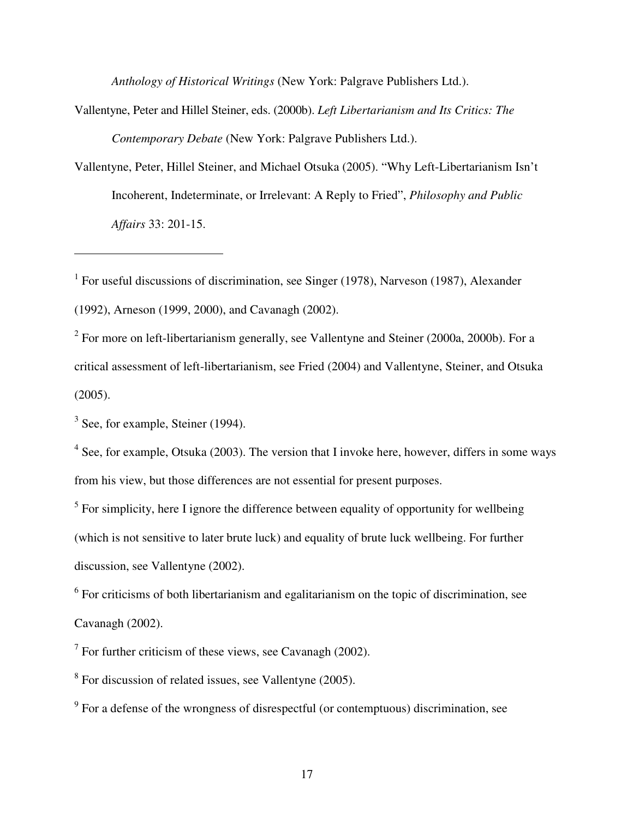*Anthology of Historical Writings* (New York: Palgrave Publishers Ltd.).

Vallentyne, Peter and Hillel Steiner, eds. (2000b). *Left Libertarianism and Its Critics: The Contemporary Debate* (New York: Palgrave Publishers Ltd.).

Vallentyne, Peter, Hillel Steiner, and Michael Otsuka (2005). "Why Left-Libertarianism Isn't Incoherent, Indeterminate, or Irrelevant: A Reply to Fried", *Philosophy and Public Affairs* 33: 201-15.

<sup>1</sup> For useful discussions of discrimination, see Singer (1978), Narveson (1987), Alexander (1992), Arneson (1999, 2000), and Cavanagh (2002).

 $2^2$  For more on left-libertarianism generally, see Vallentyne and Steiner (2000a, 2000b). For a critical assessment of left-libertarianism, see Fried (2004) and Vallentyne, Steiner, and Otsuka (2005).

 $3$  See, for example, Steiner (1994).

 $\overline{a}$ 

 $4$  See, for example, Otsuka (2003). The version that I invoke here, however, differs in some ways from his view, but those differences are not essential for present purposes.

 $<sup>5</sup>$  For simplicity, here I ignore the difference between equality of opportunity for wellbeing</sup> (which is not sensitive to later brute luck) and equality of brute luck wellbeing. For further discussion, see Vallentyne (2002).

 $6$  For criticisms of both libertarianism and egalitarianism on the topic of discrimination, see Cavanagh (2002).

 $7$  For further criticism of these views, see Cavanagh (2002).

<sup>8</sup> For discussion of related issues, see Vallentyne (2005).

 $9$  For a defense of the wrongness of disrespectful (or contemptuous) discrimination, see